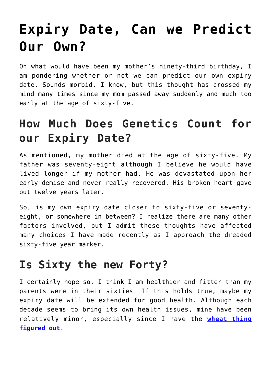# **[Expiry Date, Can we Predict](https://loreeebee.ca/2022/06/10/expiry-date-can-we-predict-one/) [Our Own?](https://loreeebee.ca/2022/06/10/expiry-date-can-we-predict-one/)**

On what would have been my mother's ninety-third birthday, I am pondering whether or not we can predict our own expiry date. Sounds morbid, I know, but this thought has crossed my mind many times since my mom passed away suddenly and much too early at the age of sixty-five.

### **How Much Does Genetics Count for our Expiry Date?**

As mentioned, my mother died at the age of sixty-five. My father was seventy-eight although I believe he would have lived longer if my mother had. He was devastated upon her early demise and never really recovered. His broken heart gave out twelve years later.

So, is my own expiry date closer to sixty-five or seventyeight, or somewhere in between? I realize there are many other factors involved, but I admit these thoughts have affected many choices I have made recently as I approach the dreaded sixty-five year marker.

#### **Is Sixty the new Forty?**

I certainly hope so. I think I am healthier and fitter than my parents were in their sixties. If this holds true, maybe my expiry date will be extended for good health. Although each decade seems to bring its own health issues, mine have been relatively minor, especially since I have the **[wheat thing](https://loreeebee.ca/2016/02/27/eliminating-wheat-from-your-diet/) [figured out](https://loreeebee.ca/2016/02/27/eliminating-wheat-from-your-diet/)**.